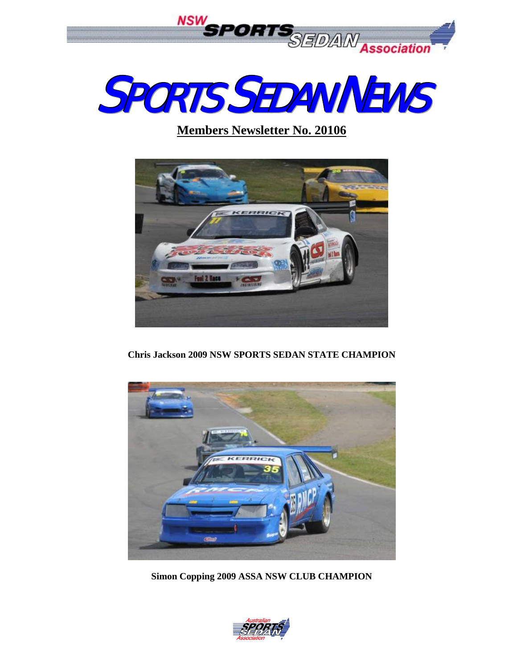



## **Members Newsletter No. 20106**



**Chris Jackson 2009 NSW SPORTS SEDAN STATE CHAMPION** 



**Simon Copping 2009 ASSA NSW CLUB CHAMPION** 

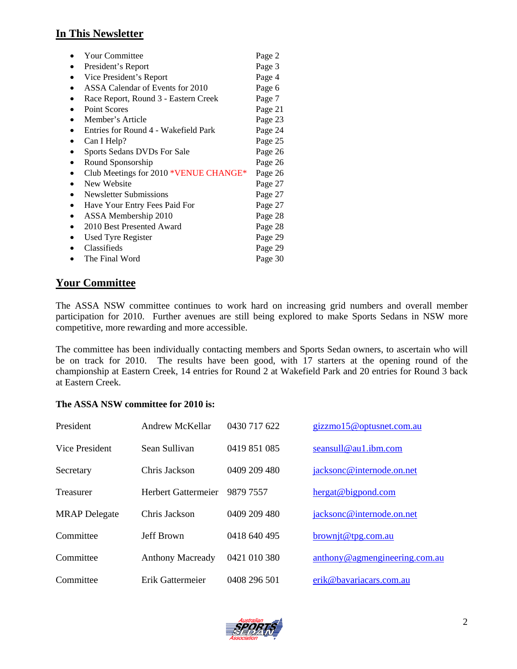## **In This Newsletter**

| <b>Your Committee</b>                 | Page 2  |
|---------------------------------------|---------|
| President's Report                    | Page 3  |
| Vice President's Report               | Page 4  |
| ASSA Calendar of Events for 2010      | Page 6  |
| Race Report, Round 3 - Eastern Creek  | Page 7  |
| <b>Point Scores</b>                   | Page 21 |
| Member's Article                      | Page 23 |
| Entries for Round 4 - Wakefield Park  | Page 24 |
| Can I Help?                           | Page 25 |
| Sports Sedans DVDs For Sale           | Page 26 |
| Round Sponsorship                     | Page 26 |
| Club Meetings for 2010 *VENUE CHANGE* | Page 26 |
| New Website                           | Page 27 |
| Newsletter Submissions                | Page 27 |
| Have Your Entry Fees Paid For         | Page 27 |
| ASSA Membership 2010                  | Page 28 |
| 2010 Best Presented Award             | Page 28 |
| <b>Used Tyre Register</b>             | Page 29 |
| Classifieds                           | Page 29 |
| The Final Word                        | Page 30 |

## **Your Committee**

The ASSA NSW committee continues to work hard on increasing grid numbers and overall member participation for 2010. Further avenues are still being explored to make Sports Sedans in NSW more competitive, more rewarding and more accessible.

The committee has been individually contacting members and Sports Sedan owners, to ascertain who will be on track for 2010. The results have been good, with 17 starters at the opening round of the championship at Eastern Creek, 14 entries for Round 2 at Wakefield Park and 20 entries for Round 3 back at Eastern Creek.

#### **The ASSA NSW committee for 2010 is:**

| President            | Andrew McKellar            | 0430 717 622 | gizzmo15@optusnet.com.au      |
|----------------------|----------------------------|--------------|-------------------------------|
| Vice President       | Sean Sullivan              | 0419 851 085 | seansull@au1.ibm.com          |
| Secretary            | Chris Jackson              | 0409 209 480 | jacksonc@internode.on.net     |
| Treasurer            | <b>Herbert Gattermeier</b> | 9879 7557    | hergat@bigpond.com            |
| <b>MRAP</b> Delegate | Chris Jackson              | 0409 209 480 | jacksonc@internode.on.net     |
| Committee            | <b>Jeff Brown</b>          | 0418 640 495 | $brown$ jt@tpg.com.au         |
| Committee            | <b>Anthony Macready</b>    | 0421 010 380 | anthony@agmengineering.com.au |
| Committee            | Erik Gattermeier           | 0408 296 501 | erik@bavariacars.com.au       |

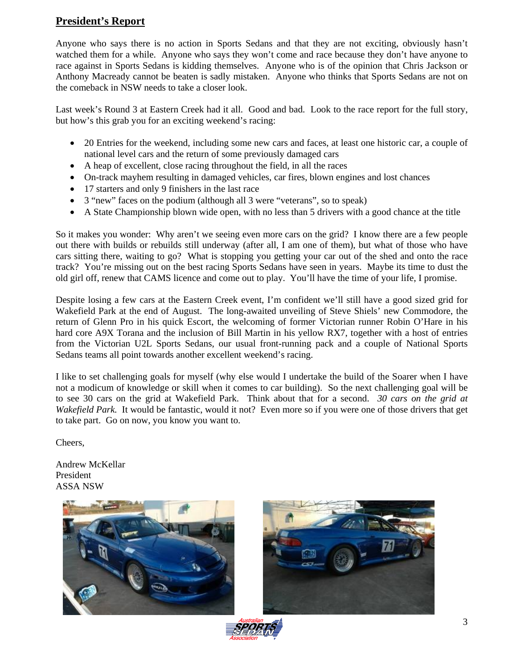## **President's Report**

Anyone who says there is no action in Sports Sedans and that they are not exciting, obviously hasn't watched them for a while. Anyone who says they won't come and race because they don't have anyone to race against in Sports Sedans is kidding themselves. Anyone who is of the opinion that Chris Jackson or Anthony Macready cannot be beaten is sadly mistaken. Anyone who thinks that Sports Sedans are not on the comeback in NSW needs to take a closer look.

Last week's Round 3 at Eastern Creek had it all. Good and bad. Look to the race report for the full story, but how's this grab you for an exciting weekend's racing:

- 20 Entries for the weekend, including some new cars and faces, at least one historic car, a couple of national level cars and the return of some previously damaged cars
- A heap of excellent, close racing throughout the field, in all the races
- On-track mayhem resulting in damaged vehicles, car fires, blown engines and lost chances
- 17 starters and only 9 finishers in the last race
- 3 "new" faces on the podium (although all 3 were "veterans", so to speak)
- A State Championship blown wide open, with no less than 5 drivers with a good chance at the title

So it makes you wonder: Why aren't we seeing even more cars on the grid? I know there are a few people out there with builds or rebuilds still underway (after all, I am one of them), but what of those who have cars sitting there, waiting to go? What is stopping you getting your car out of the shed and onto the race track? You're missing out on the best racing Sports Sedans have seen in years. Maybe its time to dust the old girl off, renew that CAMS licence and come out to play. You'll have the time of your life, I promise.

Despite losing a few cars at the Eastern Creek event, I'm confident we'll still have a good sized grid for Wakefield Park at the end of August. The long-awaited unveiling of Steve Shiels' new Commodore, the return of Glenn Pro in his quick Escort, the welcoming of former Victorian runner Robin O'Hare in his hard core A9X Torana and the inclusion of Bill Martin in his yellow RX7, together with a host of entries from the Victorian U2L Sports Sedans, our usual front-running pack and a couple of National Sports Sedans teams all point towards another excellent weekend's racing.

I like to set challenging goals for myself (why else would I undertake the build of the Soarer when I have not a modicum of knowledge or skill when it comes to car building). So the next challenging goal will be to see 30 cars on the grid at Wakefield Park. Think about that for a second. *30 cars on the grid at Wakefield Park.* It would be fantastic, would it not? Even more so if you were one of those drivers that get to take part. Go on now, you know you want to.

Cheers,

Andrew McKellar President ASSA NSW



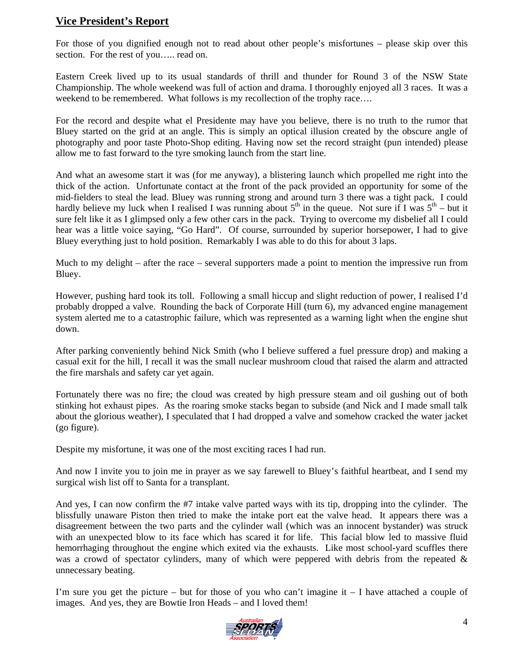## **Vice President's Report**

For those of you dignified enough not to read about other people's misfortunes – please skip over this section. For the rest of you..... read on.

Eastern Creek lived up to its usual standards of thrill and thunder for Round 3 of the NSW State Championship. The whole weekend was full of action and drama. I thoroughly enjoyed all 3 races. It was a weekend to be remembered. What follows is my recollection of the trophy race....

For the record and despite what el Presidente may have you believe, there is no truth to the rumor that Bluey started on the grid at an angle. This is simply an optical illusion created by the obscure angle of photography and poor taste Photo-Shop editing. Having now set the record straight (pun intended) please allow me to fast forward to the tyre smoking launch from the start line.

And what an awesome start it was (for me anyway), a blistering launch which propelled me right into the thick of the action. Unfortunate contact at the front of the pack provided an opportunity for some of the mid-fielders to steal the lead. Bluey was running strong and around turn 3 there was a tight pack. I could hardly believe my luck when I realised I was running about  $5<sup>th</sup>$  in the queue. Not sure if I was  $5<sup>th</sup>$  – but it sure felt like it as I glimpsed only a few other cars in the pack. Trying to overcome my disbelief all I could hear was a little voice saying, "Go Hard". Of course, surrounded by superior horsepower, I had to give Bluey everything just to hold position. Remarkably I was able to do this for about 3 laps.

Much to my delight – after the race – several supporters made a point to mention the impressive run from Bluey.

However, pushing hard took its toll. Following a small hiccup and slight reduction of power, I realised I'd probably dropped a valve. Rounding the back of Corporate Hill (turn 6), my advanced engine management system alerted me to a catastrophic failure, which was represented as a warning light when the engine shut down.

After parking conveniently behind Nick Smith (who I believe suffered a fuel pressure drop) and making a casual exit for the hill, I recall it was the small nuclear mushroom cloud that raised the alarm and attracted the fire marshals and safety car yet again.

Fortunately there was no fire; the cloud was created by high pressure steam and oil gushing out of both stinking hot exhaust pipes. As the roaring smoke stacks began to subside (and Nick and I made small talk about the glorious weather), I speculated that I had dropped a valve and somehow cracked the water jacket (go figure).

Despite my misfortune, it was one of the most exciting races I had run.

And now I invite you to join me in prayer as we say farewell to Bluey's faithful heartbeat, and I send my surgical wish list off to Santa for a transplant.

And yes, I can now confirm the #7 intake valve parted ways with its tip, dropping into the cylinder. The blissfully unaware Piston then tried to make the intake port eat the valve head. It appears there was a disagreement between the two parts and the cylinder wall (which was an innocent bystander) was struck with an unexpected blow to its face which has scared it for life. This facial blow led to massive fluid hemorrhaging throughout the engine which exited via the exhausts. Like most school-yard scuffles there was a crowd of spectator cylinders, many of which were peppered with debris from the repeated  $\&$ unnecessary beating.

I'm sure you get the picture – but for those of you who can't imagine it – I have attached a couple of images. And yes, they are Bowtie Iron Heads – and I loved them!

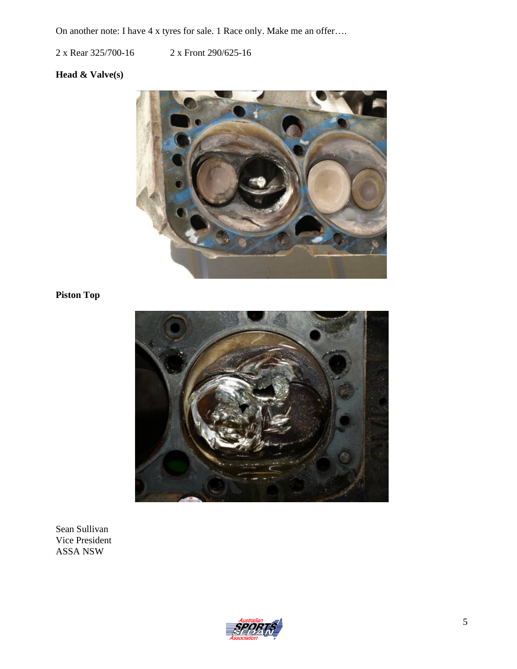On another note: I have 4 x tyres for sale. 1 Race only. Make me an offer….

2 x Rear 325/700-16 2 x Front 290/625-16

## **Head & Valve(s)**



## **Piston Top**



Sean Sullivan Vice President ASSA NSW

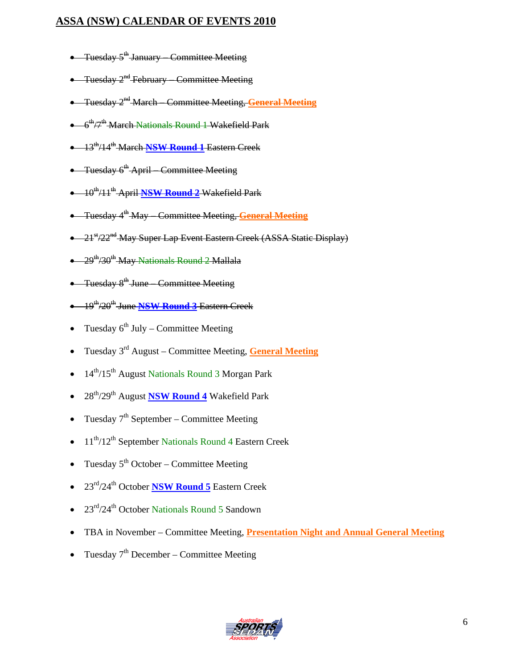## **ASSA (NSW) CALENDAR OF EVENTS 2010**

- Tuesday  $5^{\text{th}}$  January Committee Meeting
- Tuesday 2<sup>nd</sup> February Committee Meeting
- Tuesday 2nd March Committee Meeting, **General Meeting**
- $\bullet$  6<sup>th</sup>/7<sup>th</sup> March Nationals Round 1 Wakefield Park
- 13th/14th March **NSW Round 1** Eastern Creek
- Tuesday  $6^{\text{th}}$  April Committee Meeting
- 10th/11th April **NSW Round 2** Wakefield Park
- Tuesday 4th May Committee Meeting, **General Meeting**
- 21<sup>st</sup>/22<sup>nd</sup> May Super Lap Event Eastern Creek (ASSA Static Display)
- $\bullet$  29<sup>th</sup>/30<sup>th</sup> May Nationals Round 2 Mallala
- Tuesday 8<sup>th</sup> June Committee Meeting
- 19th/20th June **NSW Round 3** Eastern Creek
- Tuesday  $6^{th}$  July Committee Meeting
- Tuesday 3rd August Committee Meeting, **General Meeting**
- 14<sup>th</sup>/15<sup>th</sup> August Nationals Round 3 Morgan Park
- 28th/29th August **NSW Round 4** Wakefield Park
- Tuesday  $7<sup>th</sup>$  September Committee Meeting
- 11<sup>th</sup>/12<sup>th</sup> September Nationals Round 4 Eastern Creek
- Tuesday  $5<sup>th</sup> October Committee Meeting$
- 23rd/24th October **NSW Round 5** Eastern Creek
- 23rd/24th October Nationals Round 5 Sandown
- TBA in November Committee Meeting, **Presentation Night and Annual General Meeting**
- Tuesday  $7<sup>th</sup>$  December Committee Meeting

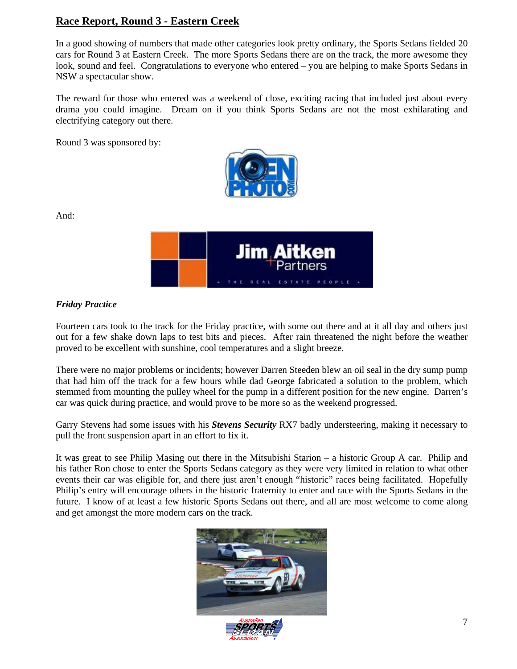## **Race Report, Round 3 - Eastern Creek**

In a good showing of numbers that made other categories look pretty ordinary, the Sports Sedans fielded 20 cars for Round 3 at Eastern Creek. The more Sports Sedans there are on the track, the more awesome they look, sound and feel. Congratulations to everyone who entered – you are helping to make Sports Sedans in NSW a spectacular show.

The reward for those who entered was a weekend of close, exciting racing that included just about every drama you could imagine. Dream on if you think Sports Sedans are not the most exhilarating and electrifying category out there.

Round 3 was sponsored by:



And:



## *Friday Practice*

Fourteen cars took to the track for the Friday practice, with some out there and at it all day and others just out for a few shake down laps to test bits and pieces. After rain threatened the night before the weather proved to be excellent with sunshine, cool temperatures and a slight breeze.

There were no major problems or incidents; however Darren Steeden blew an oil seal in the dry sump pump that had him off the track for a few hours while dad George fabricated a solution to the problem, which stemmed from mounting the pulley wheel for the pump in a different position for the new engine. Darren's car was quick during practice, and would prove to be more so as the weekend progressed.

Garry Stevens had some issues with his *Stevens Security* RX7 badly understeering, making it necessary to pull the front suspension apart in an effort to fix it.

It was great to see Philip Masing out there in the Mitsubishi Starion – a historic Group A car. Philip and his father Ron chose to enter the Sports Sedans category as they were very limited in relation to what other events their car was eligible for, and there just aren't enough "historic" races being facilitated. Hopefully Philip's entry will encourage others in the historic fraternity to enter and race with the Sports Sedans in the future. I know of at least a few historic Sports Sedans out there, and all are most welcome to come along and get amongst the more modern cars on the track.



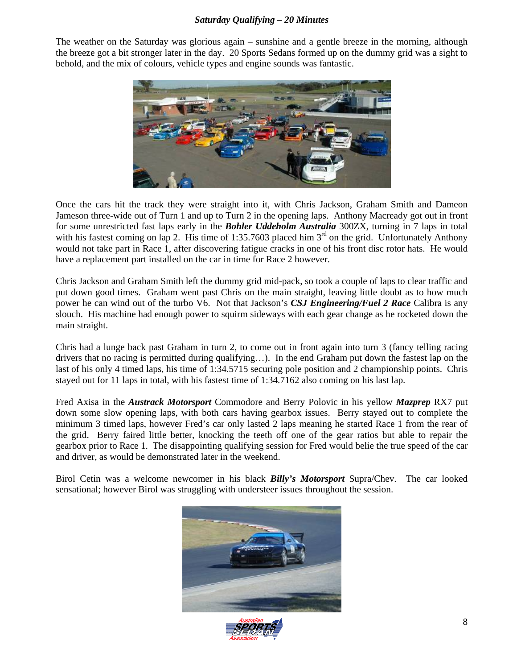#### *Saturday Qualifying – 20 Minutes*

The weather on the Saturday was glorious again – sunshine and a gentle breeze in the morning, although the breeze got a bit stronger later in the day. 20 Sports Sedans formed up on the dummy grid was a sight to behold, and the mix of colours, vehicle types and engine sounds was fantastic.



Once the cars hit the track they were straight into it, with Chris Jackson, Graham Smith and Dameon Jameson three-wide out of Turn 1 and up to Turn 2 in the opening laps. Anthony Macready got out in front for some unrestricted fast laps early in the *Bohler Uddeholm Australia* 300ZX, turning in 7 laps in total with his fastest coming on lap 2. His time of 1:35.7603 placed him  $3<sup>rd</sup>$  on the grid. Unfortunately Anthony would not take part in Race 1, after discovering fatigue cracks in one of his front disc rotor hats. He would have a replacement part installed on the car in time for Race 2 however.

Chris Jackson and Graham Smith left the dummy grid mid-pack, so took a couple of laps to clear traffic and put down good times. Graham went past Chris on the main straight, leaving little doubt as to how much power he can wind out of the turbo V6. Not that Jackson's *CSJ Engineering/Fuel 2 Race* Calibra is any slouch. His machine had enough power to squirm sideways with each gear change as he rocketed down the main straight.

Chris had a lunge back past Graham in turn 2, to come out in front again into turn 3 (fancy telling racing drivers that no racing is permitted during qualifying…). In the end Graham put down the fastest lap on the last of his only 4 timed laps, his time of 1:34.5715 securing pole position and 2 championship points. Chris stayed out for 11 laps in total, with his fastest time of 1:34.7162 also coming on his last lap.

Fred Axisa in the *Austrack Motorsport* Commodore and Berry Polovic in his yellow *Mazprep* RX7 put down some slow opening laps, with both cars having gearbox issues. Berry stayed out to complete the minimum 3 timed laps, however Fred's car only lasted 2 laps meaning he started Race 1 from the rear of the grid. Berry faired little better, knocking the teeth off one of the gear ratios but able to repair the gearbox prior to Race 1. The disappointing qualifying session for Fred would belie the true speed of the car and driver, as would be demonstrated later in the weekend.

Birol Cetin was a welcome newcomer in his black *Billy's Motorsport* Supra/Chev. The car looked sensational; however Birol was struggling with understeer issues throughout the session.



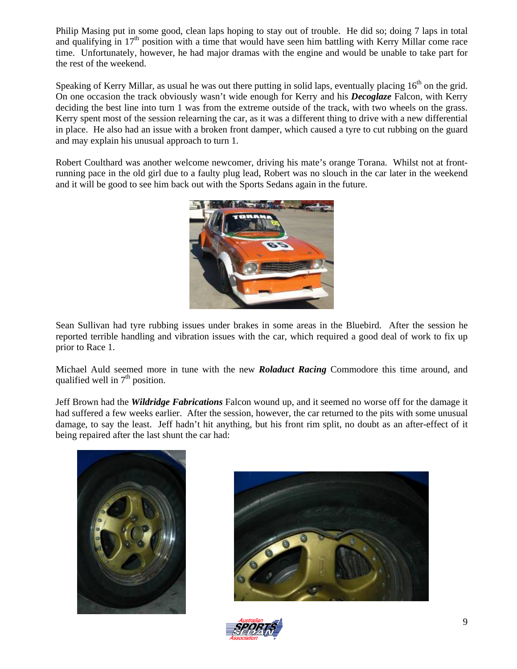Philip Masing put in some good, clean laps hoping to stay out of trouble. He did so; doing 7 laps in total and qualifying in  $17<sup>th</sup>$  position with a time that would have seen him battling with Kerry Millar come race time. Unfortunately, however, he had major dramas with the engine and would be unable to take part for the rest of the weekend.

Speaking of Kerry Millar, as usual he was out there putting in solid laps, eventually placing  $16<sup>th</sup>$  on the grid. On one occasion the track obviously wasn't wide enough for Kerry and his *Decoglaze* Falcon, with Kerry deciding the best line into turn 1 was from the extreme outside of the track, with two wheels on the grass. Kerry spent most of the session relearning the car, as it was a different thing to drive with a new differential in place. He also had an issue with a broken front damper, which caused a tyre to cut rubbing on the guard and may explain his unusual approach to turn 1.

Robert Coulthard was another welcome newcomer, driving his mate's orange Torana. Whilst not at frontrunning pace in the old girl due to a faulty plug lead, Robert was no slouch in the car later in the weekend and it will be good to see him back out with the Sports Sedans again in the future.



Sean Sullivan had tyre rubbing issues under brakes in some areas in the Bluebird. After the session he reported terrible handling and vibration issues with the car, which required a good deal of work to fix up prior to Race 1.

Michael Auld seemed more in tune with the new *Roladuct Racing* Commodore this time around, and qualified well in  $7<sup>th</sup>$  position.

Jeff Brown had the *Wildridge Fabrications* Falcon wound up, and it seemed no worse off for the damage it had suffered a few weeks earlier. After the session, however, the car returned to the pits with some unusual damage, to say the least. Jeff hadn't hit anything, but his front rim split, no doubt as an after-effect of it being repaired after the last shunt the car had:





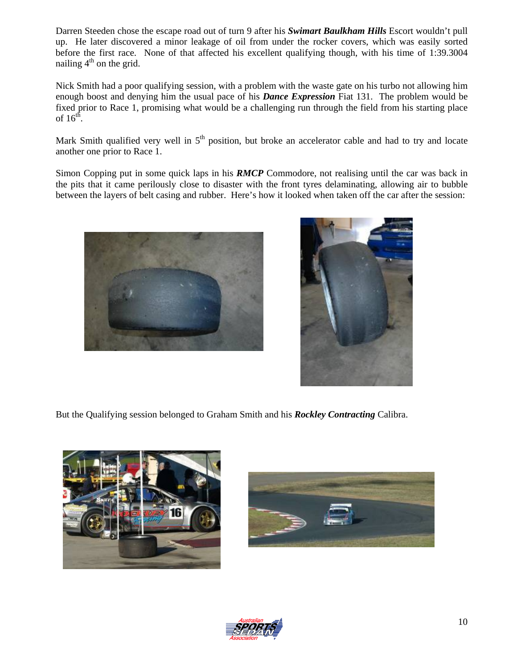Darren Steeden chose the escape road out of turn 9 after his *Swimart Baulkham Hills* Escort wouldn't pull up. He later discovered a minor leakage of oil from under the rocker covers, which was easily sorted before the first race. None of that affected his excellent qualifying though, with his time of 1:39.3004 nailing  $4<sup>th</sup>$  on the grid.

Nick Smith had a poor qualifying session, with a problem with the waste gate on his turbo not allowing him enough boost and denying him the usual pace of his *Dance Expression* Fiat 131. The problem would be fixed prior to Race 1, promising what would be a challenging run through the field from his starting place of  $16^{th}$ .

Mark Smith qualified very well in  $5<sup>th</sup>$  position, but broke an accelerator cable and had to try and locate another one prior to Race 1.

Simon Copping put in some quick laps in his *RMCP* Commodore, not realising until the car was back in the pits that it came perilously close to disaster with the front tyres delaminating, allowing air to bubble between the layers of belt casing and rubber. Here's how it looked when taken off the car after the session:





But the Qualifying session belonged to Graham Smith and his *Rockley Contracting* Calibra.





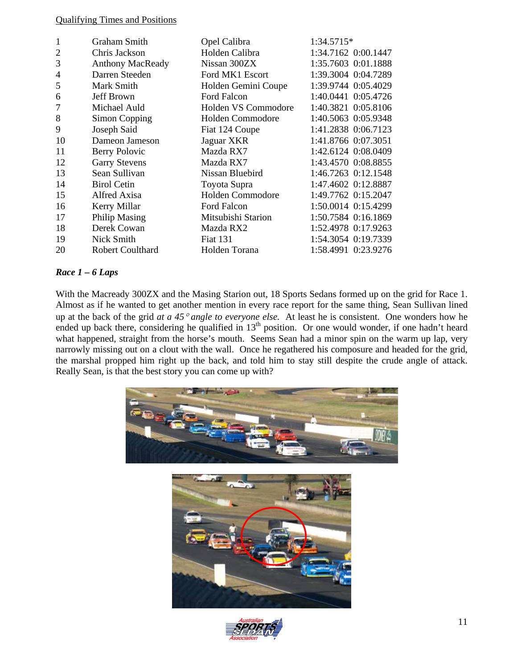#### Qualifying Times and Positions

| 1              | <b>Graham Smith</b>     | Opel Calibra        | 1:34.5715*          |
|----------------|-------------------------|---------------------|---------------------|
| $\overline{2}$ | Chris Jackson           | Holden Calibra      | 1:34.7162 0:00.1447 |
| 3              | <b>Anthony MacReady</b> | Nissan 300ZX        | 1:35.7603 0:01.1888 |
| 4              | Darren Steeden          | Ford MK1 Escort     | 1:39.3004 0:04.7289 |
| 5              | Mark Smith              | Holden Gemini Coupe | 1:39.9744 0:05.4029 |
| 6              | Jeff Brown              | Ford Falcon         | 1:40.0441 0:05.4726 |
|                | Michael Auld            | Holden VS Commodore | 1:40.3821 0:05.8106 |
| 8              | Simon Copping           | Holden Commodore    | 1:40.5063 0:05.9348 |
| 9              | Joseph Said             | Fiat 124 Coupe      | 1:41.2838 0:06.7123 |
| 10             | Dameon Jameson          | Jaguar XKR          | 1:41.8766 0:07.3051 |
| 11             | Berry Polovic           | Mazda RX7           | 1:42.6124 0:08.0409 |
| 12             | <b>Garry Stevens</b>    | Mazda RX7           | 1:43.4570 0:08.8855 |
| 13             | Sean Sullivan           | Nissan Bluebird     | 1:46.7263 0:12.1548 |
| 14             | <b>Birol Cetin</b>      | Toyota Supra        | 1:47.4602 0:12.8887 |
| 15             | Alfred Axisa            | Holden Commodore    | 1:49.7762 0:15.2047 |
| 16             | Kerry Millar            | Ford Falcon         | 1:50.0014 0:15.4299 |
| 17             | <b>Philip Masing</b>    | Mitsubishi Starion  | 1:50.7584 0:16.1869 |
| 18             | Derek Cowan             | Mazda RX2           | 1:52.4978 0:17.9263 |
| 19             | Nick Smith              | <b>Fiat 131</b>     | 1:54.3054 0:19.7339 |
| 20             | Robert Coulthard        | Holden Torana       | 1:58.4991 0:23.9276 |

#### *Race 1 – 6 Laps*

With the Macready 300ZX and the Masing Starion out, 18 Sports Sedans formed up on the grid for Race 1. Almost as if he wanted to get another mention in every race report for the same thing, Sean Sullivan lined up at the back of the grid *at a 45*° *angle to everyone else.* At least he is consistent. One wonders how he ended up back there, considering he qualified in 13<sup>th</sup> position. Or one would wonder, if one hadn't heard what happened, straight from the horse's mouth. Seems Sean had a minor spin on the warm up lap, very narrowly missing out on a clout with the wall. Once he regathered his composure and headed for the grid, the marshal propped him right up the back, and told him to stay still despite the crude angle of attack. Really Sean, is that the best story you can come up with?



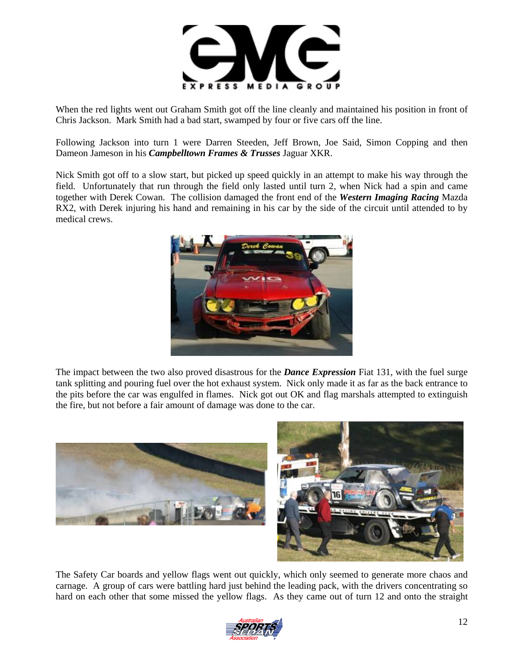

When the red lights went out Graham Smith got off the line cleanly and maintained his position in front of Chris Jackson. Mark Smith had a bad start, swamped by four or five cars off the line.

Following Jackson into turn 1 were Darren Steeden, Jeff Brown, Joe Said, Simon Copping and then Dameon Jameson in his *Campbelltown Frames & Trusses* Jaguar XKR.

Nick Smith got off to a slow start, but picked up speed quickly in an attempt to make his way through the field. Unfortunately that run through the field only lasted until turn 2, when Nick had a spin and came together with Derek Cowan. The collision damaged the front end of the *Western Imaging Racing* Mazda RX2, with Derek injuring his hand and remaining in his car by the side of the circuit until attended to by medical crews.



The impact between the two also proved disastrous for the *Dance Expression* Fiat 131, with the fuel surge tank splitting and pouring fuel over the hot exhaust system. Nick only made it as far as the back entrance to the pits before the car was engulfed in flames. Nick got out OK and flag marshals attempted to extinguish the fire, but not before a fair amount of damage was done to the car.



The Safety Car boards and yellow flags went out quickly, which only seemed to generate more chaos and carnage. A group of cars were battling hard just behind the leading pack, with the drivers concentrating so hard on each other that some missed the yellow flags. As they came out of turn 12 and onto the straight

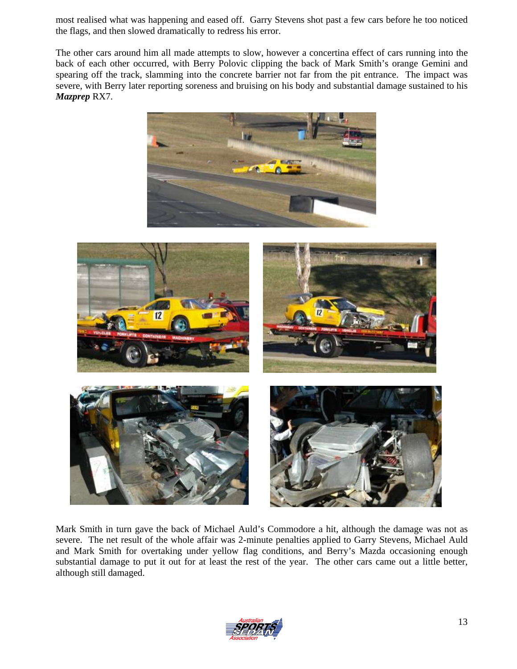most realised what was happening and eased off. Garry Stevens shot past a few cars before he too noticed the flags, and then slowed dramatically to redress his error.

The other cars around him all made attempts to slow, however a concertina effect of cars running into the back of each other occurred, with Berry Polovic clipping the back of Mark Smith's orange Gemini and spearing off the track, slamming into the concrete barrier not far from the pit entrance. The impact was severe, with Berry later reporting soreness and bruising on his body and substantial damage sustained to his *Mazprep* RX7.





Mark Smith in turn gave the back of Michael Auld's Commodore a hit, although the damage was not as severe. The net result of the whole affair was 2-minute penalties applied to Garry Stevens, Michael Auld and Mark Smith for overtaking under yellow flag conditions, and Berry's Mazda occasioning enough substantial damage to put it out for at least the rest of the year. The other cars came out a little better, although still damaged.

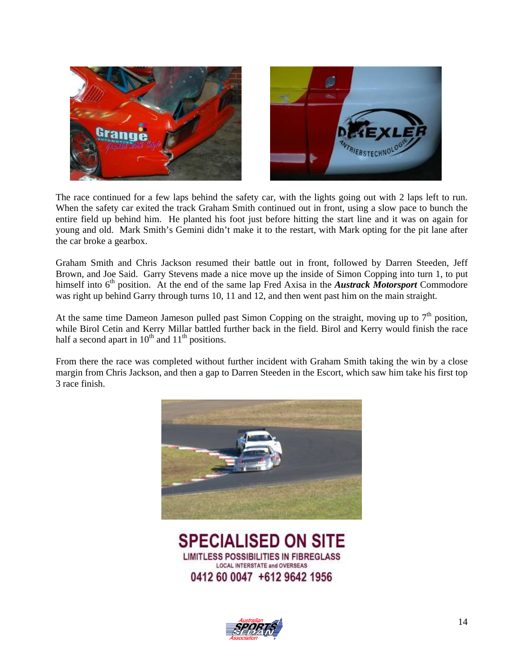



The race continued for a few laps behind the safety car, with the lights going out with 2 laps left to run. When the safety car exited the track Graham Smith continued out in front, using a slow pace to bunch the entire field up behind him. He planted his foot just before hitting the start line and it was on again for young and old. Mark Smith's Gemini didn't make it to the restart, with Mark opting for the pit lane after the car broke a gearbox.

Graham Smith and Chris Jackson resumed their battle out in front, followed by Darren Steeden, Jeff Brown, and Joe Said. Garry Stevens made a nice move up the inside of Simon Copping into turn 1, to put himself into 6<sup>th</sup> position. At the end of the same lap Fred Axisa in the *Austrack Motorsport* Commodore was right up behind Garry through turns 10, 11 and 12, and then went past him on the main straight.

At the same time Dameon Jameson pulled past Simon Copping on the straight, moving up to  $7<sup>th</sup>$  position, while Birol Cetin and Kerry Millar battled further back in the field. Birol and Kerry would finish the race half a second apart in  $10^{th}$  and  $11^{th}$  positions.

From there the race was completed without further incident with Graham Smith taking the win by a close margin from Chris Jackson, and then a gap to Darren Steeden in the Escort, which saw him take his first top 3 race finish.



**SPECIALISED ON SITE LIMITLESS POSSIBILITIES IN FIBREGLASS LOCAL INTERSTATE and OVERSEAS** 0412 60 0047 +612 9642 1956

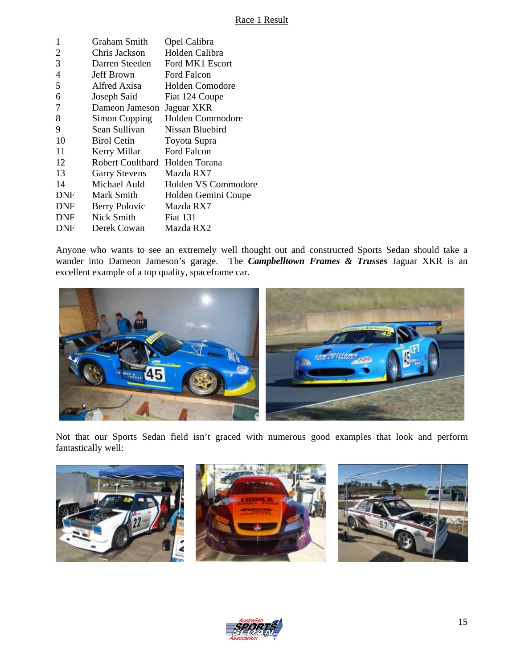| 1          | Graham Smith         | Opel Calibra            |
|------------|----------------------|-------------------------|
| 2          | Chris Jackson        | Holden Calibra          |
| 3          | Darren Steeden       | Ford MK1 Escort         |
| 4          | Jeff Brown           | Ford Falcon             |
| 5          | Alfred Axisa         | Holden Comodore         |
| 6          | Joseph Said          | Fiat 124 Coupe          |
| 7          | Dameon Jameson       | Jaguar XKR              |
| 8          | Simon Copping        | <b>Holden Commodore</b> |
| 9          | Sean Sullivan        | Nissan Bluebird         |
| 10         | <b>Birol Cetin</b>   | Toyota Supra            |
| 11         | Kerry Millar         | Ford Falcon             |
| 12         | Robert Coulthard     | Holden Torana           |
| 13         | <b>Garry Stevens</b> | Mazda RX7               |
| 14         | Michael Auld         | Holden VS Commodore     |
| <b>DNF</b> | Mark Smith           | Holden Gemini Coupe     |
| <b>DNF</b> | Berry Polovic        | Mazda RX7               |
| <b>DNF</b> | Nick Smith           | <b>Fiat 131</b>         |
| DNF        | Derek Cowan          | Mazda RX2               |
|            |                      |                         |

Anyone who wants to see an extremely well thought out and constructed Sports Sedan should take a wander into Dameon Jameson's garage. The *Campbelltown Frames & Trusses* Jaguar XKR is an excellent example of a top quality, spaceframe car.



Not that our Sports Sedan field isn't graced with numerous good examples that look and perform fantastically well:







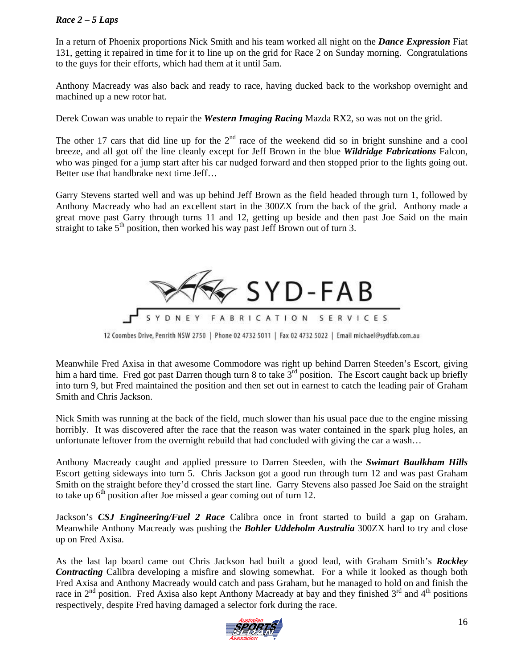#### *Race 2 – 5 Laps*

In a return of Phoenix proportions Nick Smith and his team worked all night on the *Dance Expression* Fiat 131, getting it repaired in time for it to line up on the grid for Race 2 on Sunday morning. Congratulations to the guys for their efforts, which had them at it until 5am.

Anthony Macready was also back and ready to race, having ducked back to the workshop overnight and machined up a new rotor hat.

Derek Cowan was unable to repair the *Western Imaging Racing* Mazda RX2, so was not on the grid.

The other 17 cars that did line up for the  $2<sup>nd</sup>$  race of the weekend did so in bright sunshine and a cool breeze, and all got off the line cleanly except for Jeff Brown in the blue *Wildridge Fabrications* Falcon, who was pinged for a jump start after his car nudged forward and then stopped prior to the lights going out. Better use that handbrake next time Jeff…

Garry Stevens started well and was up behind Jeff Brown as the field headed through turn 1, followed by Anthony Macready who had an excellent start in the 300ZX from the back of the grid. Anthony made a great move past Garry through turns 11 and 12, getting up beside and then past Joe Said on the main straight to take  $5<sup>th</sup>$  position, then worked his way past Jeff Brown out of turn 3.



12 Coombes Drive, Penrith NSW 2750 | Phone 02 4732 5011 | Fax 02 4732 5022 | Email michael@sydfab.com.au

Meanwhile Fred Axisa in that awesome Commodore was right up behind Darren Steeden's Escort, giving him a hard time. Fred got past Darren though turn 8 to take  $3<sup>rd</sup>$  position. The Escort caught back up briefly into turn 9, but Fred maintained the position and then set out in earnest to catch the leading pair of Graham Smith and Chris Jackson.

Nick Smith was running at the back of the field, much slower than his usual pace due to the engine missing horribly. It was discovered after the race that the reason was water contained in the spark plug holes, an unfortunate leftover from the overnight rebuild that had concluded with giving the car a wash…

Anthony Macready caught and applied pressure to Darren Steeden, with the *Swimart Baulkham Hills* Escort getting sideways into turn 5. Chris Jackson got a good run through turn 12 and was past Graham Smith on the straight before they'd crossed the start line. Garry Stevens also passed Joe Said on the straight to take up  $6<sup>th</sup>$  position after Joe missed a gear coming out of turn 12.

Jackson's *CSJ Engineering/Fuel 2 Race* Calibra once in front started to build a gap on Graham. Meanwhile Anthony Macready was pushing the *Bohler Uddeholm Australia* 300ZX hard to try and close up on Fred Axisa.

As the last lap board came out Chris Jackson had built a good lead, with Graham Smith's *Rockley Contracting* Calibra developing a misfire and slowing somewhat. For a while it looked as though both Fred Axisa and Anthony Macready would catch and pass Graham, but he managed to hold on and finish the race in  $2<sup>nd</sup>$  position. Fred Axisa also kept Anthony Macready at bay and they finished  $3<sup>rd</sup>$  and  $4<sup>th</sup>$  positions respectively, despite Fred having damaged a selector fork during the race.

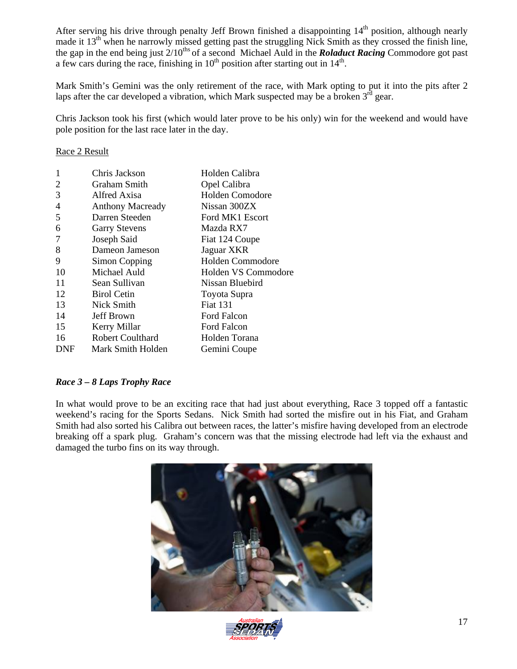After serving his drive through penalty Jeff Brown finished a disappointing 14<sup>th</sup> position, although nearly made it  $13<sup>th</sup>$  when he narrowly missed getting past the struggling Nick Smith as they crossed the finish line, the gap in the end being just 2/10ths of a second Michael Auld in the *Roladuct Racing* Commodore got past a few cars during the race, finishing in  $10^{th}$  position after starting out in  $14^{th}$ .

Mark Smith's Gemini was the only retirement of the race, with Mark opting to put it into the pits after 2 laps after the car developed a vibration, which Mark suspected may be a broken  $3^{rd}$  gear.

Chris Jackson took his first (which would later prove to be his only) win for the weekend and would have pole position for the last race later in the day.

Race 2 Result

| 1   | Chris Jackson           | Holden Calibra      |
|-----|-------------------------|---------------------|
| 2   | Graham Smith            | Opel Calibra        |
| 3   | Alfred Axisa            | Holden Comodore     |
| 4   | <b>Anthony Macready</b> | Nissan 300ZX        |
| 5   | Darren Steeden          | Ford MK1 Escort     |
| 6   | <b>Garry Stevens</b>    | Mazda RX7           |
| 7   | Joseph Said             | Fiat 124 Coupe      |
| 8   | Dameon Jameson          | Jaguar XKR          |
| 9   | Simon Copping           | Holden Commodore    |
| 10  | Michael Auld            | Holden VS Commodore |
| 11  | Sean Sullivan           | Nissan Bluebird     |
| 12  | <b>Birol Cetin</b>      | Toyota Supra        |
| 13  | Nick Smith              | <b>Fiat 131</b>     |
| 14  | Jeff Brown              | Ford Falcon         |
| 15  | Kerry Millar            | Ford Falcon         |
| 16  | <b>Robert Coulthard</b> | Holden Torana       |
| DNF | Mark Smith Holden       | Gemini Coupe        |

#### *Race 3 – 8 Laps Trophy Race*

In what would prove to be an exciting race that had just about everything, Race 3 topped off a fantastic weekend's racing for the Sports Sedans. Nick Smith had sorted the misfire out in his Fiat, and Graham Smith had also sorted his Calibra out between races, the latter's misfire having developed from an electrode breaking off a spark plug. Graham's concern was that the missing electrode had left via the exhaust and damaged the turbo fins on its way through.



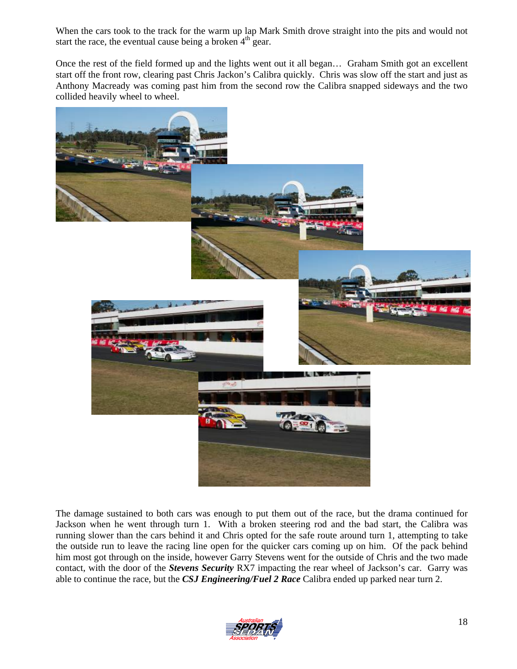When the cars took to the track for the warm up lap Mark Smith drove straight into the pits and would not start the race, the eventual cause being a broken  $4<sup>th</sup>$  gear.

Once the rest of the field formed up and the lights went out it all began… Graham Smith got an excellent start off the front row, clearing past Chris Jackon's Calibra quickly. Chris was slow off the start and just as Anthony Macready was coming past him from the second row the Calibra snapped sideways and the two collided heavily wheel to wheel.



The damage sustained to both cars was enough to put them out of the race, but the drama continued for Jackson when he went through turn 1. With a broken steering rod and the bad start, the Calibra was running slower than the cars behind it and Chris opted for the safe route around turn 1, attempting to take the outside run to leave the racing line open for the quicker cars coming up on him. Of the pack behind him most got through on the inside, however Garry Stevens went for the outside of Chris and the two made contact, with the door of the *Stevens Security* RX7 impacting the rear wheel of Jackson's car. Garry was able to continue the race, but the *CSJ Engineering/Fuel 2 Race* Calibra ended up parked near turn 2.

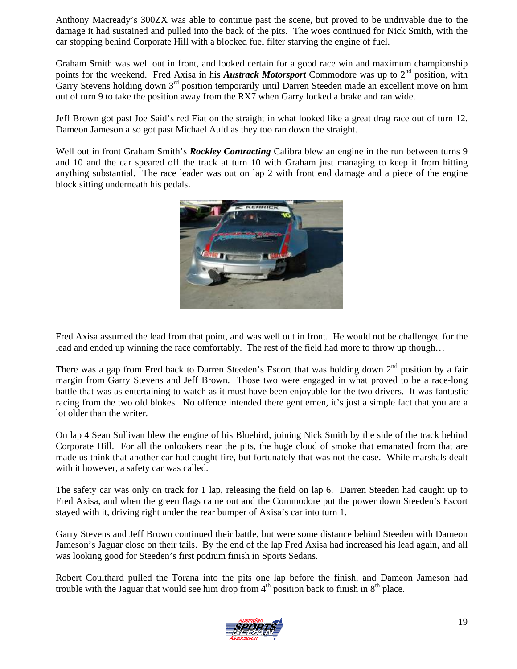Anthony Macready's 300ZX was able to continue past the scene, but proved to be undrivable due to the damage it had sustained and pulled into the back of the pits. The woes continued for Nick Smith, with the car stopping behind Corporate Hill with a blocked fuel filter starving the engine of fuel.

Graham Smith was well out in front, and looked certain for a good race win and maximum championship points for the weekend. Fred Axisa in his **Austrack Motorsport** Commodore was up to 2<sup>nd</sup> position, with Garry Stevens holding down 3<sup>rd</sup> position temporarily until Darren Steeden made an excellent move on him out of turn 9 to take the position away from the RX7 when Garry locked a brake and ran wide.

Jeff Brown got past Joe Said's red Fiat on the straight in what looked like a great drag race out of turn 12. Dameon Jameson also got past Michael Auld as they too ran down the straight.

Well out in front Graham Smith's *Rockley Contracting* Calibra blew an engine in the run between turns 9 and 10 and the car speared off the track at turn 10 with Graham just managing to keep it from hitting anything substantial. The race leader was out on lap 2 with front end damage and a piece of the engine block sitting underneath his pedals.



Fred Axisa assumed the lead from that point, and was well out in front. He would not be challenged for the lead and ended up winning the race comfortably. The rest of the field had more to throw up though…

There was a gap from Fred back to Darren Steeden's Escort that was holding down  $2<sup>nd</sup>$  position by a fair margin from Garry Stevens and Jeff Brown. Those two were engaged in what proved to be a race-long battle that was as entertaining to watch as it must have been enjoyable for the two drivers. It was fantastic racing from the two old blokes. No offence intended there gentlemen, it's just a simple fact that you are a lot older than the writer.

On lap 4 Sean Sullivan blew the engine of his Bluebird, joining Nick Smith by the side of the track behind Corporate Hill. For all the onlookers near the pits, the huge cloud of smoke that emanated from that are made us think that another car had caught fire, but fortunately that was not the case. While marshals dealt with it however, a safety car was called.

The safety car was only on track for 1 lap, releasing the field on lap 6. Darren Steeden had caught up to Fred Axisa, and when the green flags came out and the Commodore put the power down Steeden's Escort stayed with it, driving right under the rear bumper of Axisa's car into turn 1.

Garry Stevens and Jeff Brown continued their battle, but were some distance behind Steeden with Dameon Jameson's Jaguar close on their tails. By the end of the lap Fred Axisa had increased his lead again, and all was looking good for Steeden's first podium finish in Sports Sedans.

Robert Coulthard pulled the Torana into the pits one lap before the finish, and Dameon Jameson had trouble with the Jaguar that would see him drop from  $4<sup>th</sup>$  position back to finish in  $8<sup>th</sup>$  place.

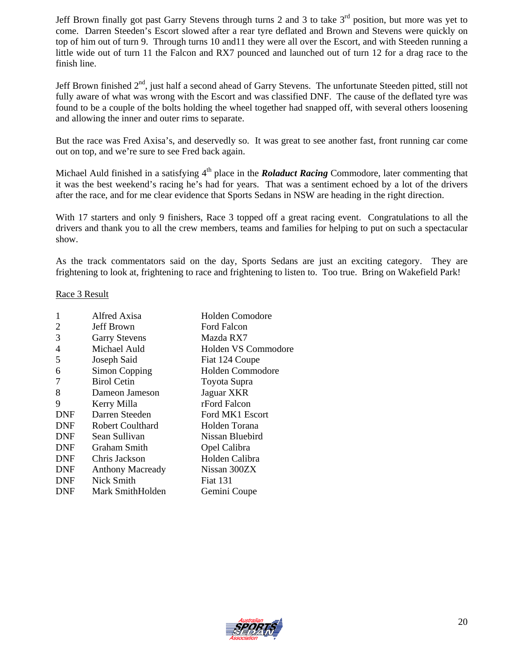Jeff Brown finally got past Garry Stevens through turns 2 and 3 to take  $3<sup>rd</sup>$  position, but more was yet to come. Darren Steeden's Escort slowed after a rear tyre deflated and Brown and Stevens were quickly on top of him out of turn 9. Through turns 10 and11 they were all over the Escort, and with Steeden running a little wide out of turn 11 the Falcon and RX7 pounced and launched out of turn 12 for a drag race to the finish line.

Jeff Brown finished  $2<sup>nd</sup>$ , just half a second ahead of Garry Stevens. The unfortunate Steeden pitted, still not fully aware of what was wrong with the Escort and was classified DNF. The cause of the deflated tyre was found to be a couple of the bolts holding the wheel together had snapped off, with several others loosening and allowing the inner and outer rims to separate.

But the race was Fred Axisa's, and deservedly so. It was great to see another fast, front running car come out on top, and we're sure to see Fred back again.

Michael Auld finished in a satisfying 4<sup>th</sup> place in the *Roladuct Racing* Commodore, later commenting that it was the best weekend's racing he's had for years. That was a sentiment echoed by a lot of the drivers after the race, and for me clear evidence that Sports Sedans in NSW are heading in the right direction.

With 17 starters and only 9 finishers, Race 3 topped off a great racing event. Congratulations to all the drivers and thank you to all the crew members, teams and families for helping to put on such a spectacular show.

As the track commentators said on the day, Sports Sedans are just an exciting category. They are frightening to look at, frightening to race and frightening to listen to. Too true. Bring on Wakefield Park!

#### Race 3 Result

| 1          | Alfred Axisa            | <b>Holden Comodore</b>  |
|------------|-------------------------|-------------------------|
| 2          | Jeff Brown              | <b>Ford Falcon</b>      |
| 3          | <b>Garry Stevens</b>    | Mazda RX7               |
| 4          | Michael Auld            | Holden VS Commodore     |
| 5          | Joseph Said             | Fiat 124 Coupe          |
| 6          | Simon Copping           | <b>Holden Commodore</b> |
| 7          | <b>Birol Cetin</b>      | Toyota Supra            |
| 8          | Dameon Jameson          | Jaguar XKR              |
| 9          | Kerry Milla             | rFord Falcon            |
| <b>DNF</b> | Darren Steeden          | Ford MK1 Escort         |
| <b>DNF</b> | Robert Coulthard        | Holden Torana           |
| <b>DNF</b> | Sean Sullivan           | Nissan Bluebird         |
| <b>DNF</b> | Graham Smith            | Opel Calibra            |
| <b>DNF</b> | Chris Jackson           | Holden Calibra          |
| <b>DNF</b> | <b>Anthony Macready</b> | Nissan 300ZX            |
| <b>DNF</b> | Nick Smith              | <b>Fiat 131</b>         |
| <b>DNF</b> | Mark SmithHolden        | Gemini Coupe            |
|            |                         |                         |

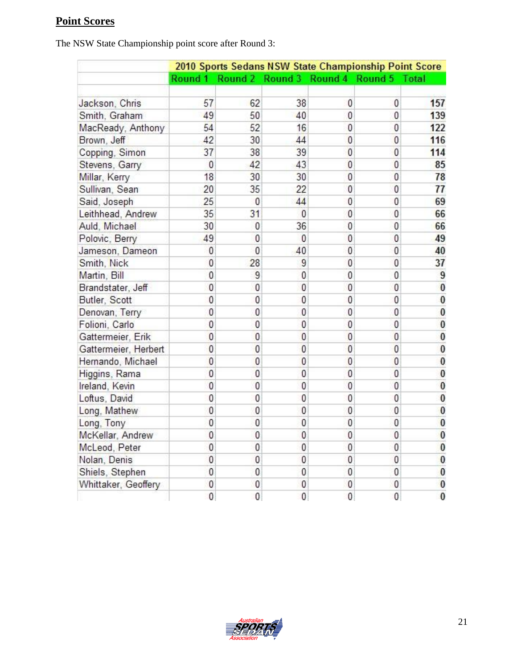# **Point Scores**

The NSW State Championship point score after Round 3:

|                      | 2010 Sports Sedans NSW State Championship Point Score |          |                                 |                |                |          |
|----------------------|-------------------------------------------------------|----------|---------------------------------|----------------|----------------|----------|
|                      | Round 1                                               |          | Round 2 Round 3 Round 4 Round 5 |                |                | Total    |
| Jackson, Chris       | 57                                                    | 62       | 38                              | 0              | 0              | 157      |
| Smith, Graham        | 49                                                    | 50       | 40                              | 0              | 0              | 139      |
| MacReady, Anthony    | 54                                                    | 52       | 16                              | 0              | 0              | 122      |
| Brown, Jeff          | 42                                                    | 30       | 44                              | 0              | $\theta$       | 116      |
| Copping, Simon       | 37                                                    | 38       | 39                              | 0              | $\mathbf{0}$   | 114      |
| Stevens, Garry       | 0                                                     | 42       | 43                              | 0              | $\theta$       | 85       |
| Millar, Kerry        | 18                                                    | 30       | 30                              | $\mathbf{0}$   | 0              | 78       |
| Sullivan, Sean       | 20                                                    | 35       | 22                              | 0              | 0              | 77       |
| Said, Joseph         | 25                                                    | 0        | 44                              | 0              | 0              | 69       |
| Leithhead, Andrew    | 35                                                    | 31       | $\theta$                        | 0              | 0              | 66       |
| Auld, Michael        | 30                                                    | 0        | 36                              | 0              | 0              | 66       |
| Polovic, Berry       | 49                                                    | 0        | $\theta$                        | 0              | 0              | 49       |
| Jameson, Dameon      | 0                                                     | 0        | 40                              | 0              | 0              | 40       |
| Smith, Nick          | 0                                                     | 28       | 9                               | 0              | $\theta$       | 37       |
| Martin, Bill         | 0                                                     | 9        | 0                               | 0              | 0              | 9        |
| Brandstater, Jeff    | 0                                                     | 0        | $\mathbf{0}$                    | 0              | 0              | $\bf{0}$ |
| Butler, Scott        | 0                                                     | 0        | 0                               | 0              | 0              | $\bf{0}$ |
| Denovan, Terry       | 0                                                     | 0        | 0                               | 0              | 0              | 0        |
| Folioni, Carlo       | 0                                                     | 0        | 0                               | 0              | 0              | $\bf{0}$ |
| Gattermeier, Erik    | $\theta$                                              | $\theta$ | $\theta$                        | $\mathbf{0}$   | $\theta$       | $\bf{0}$ |
| Gattermeier, Herbert | $\bf{0}$                                              | $\bf{0}$ | $\theta$                        | $\bf{0}$       | $\overline{0}$ | $\bf{0}$ |
| Hernando, Michael    | $\bf{0}$                                              | 0        | $\overline{0}$                  | $\overline{0}$ | $\theta$       | $\bf{0}$ |
| Higgins, Rama        | 0                                                     | 0        | $\overline{0}$                  | $\mathbf{0}$   | $\overline{0}$ | $\bf{0}$ |
| Ireland, Kevin       | $\mathbf{0}$                                          | 0        | 0                               | $\mathbf{0}$   | $\mathbf{0}$   | 0        |
| Loftus, David        | 0                                                     | 0        | 0                               | 0              | 0              | $\bf{0}$ |
| Long, Mathew         | 0                                                     | 0        | 0                               | 0              | 0              | $\bf{0}$ |
| Long, Tony           | 0                                                     | 0        | 0                               | 0              | 0              | $\bf{0}$ |
| McKellar, Andrew     | 0                                                     | 0        | $\theta$                        | 0              | $\pmb{0}$      | $\bf{0}$ |
| McLeod, Peter        | 0                                                     | 0        | $\mathbf{0}$                    | 0              | 0              | 0        |
| Nolan, Denis         | $\theta$                                              | 0        | 0                               | 0              | $\theta$       | $\bf{0}$ |
| Shiels, Stephen      | 0                                                     | 0        | 0                               | 0              | 0              | $\bf{0}$ |
| Whittaker, Geoffery  | 0                                                     | 0        | 0                               | 0              | 0              | 0        |
|                      | 0                                                     | 0        | 0                               | $\overline{0}$ | 0              | 0        |

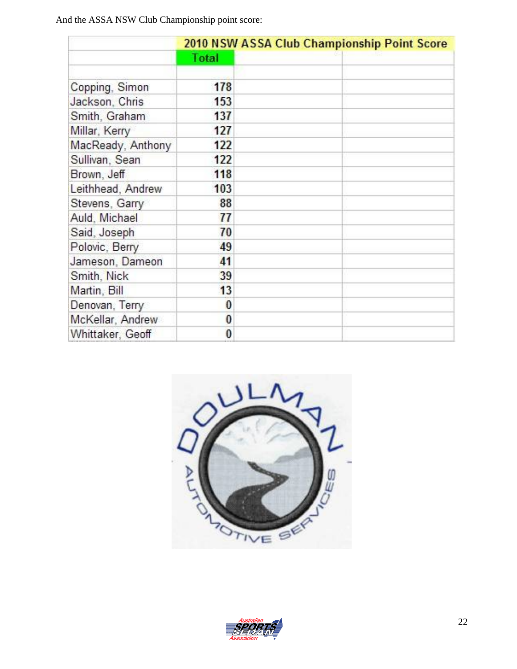And the ASSA NSW Club Championship point score:

|                   | 2010 NSW ASSA Club Championship Point Score |  |  |
|-------------------|---------------------------------------------|--|--|
|                   | Total                                       |  |  |
| Copping, Simon    | 178                                         |  |  |
| Jackson, Chris    | 153                                         |  |  |
| Smith, Graham     | 137                                         |  |  |
| Millar, Kerry     | 127                                         |  |  |
| MacReady, Anthony | 122                                         |  |  |
| Sullivan, Sean    | 122                                         |  |  |
| Brown, Jeff       | 118                                         |  |  |
| Leithhead, Andrew | 103                                         |  |  |
| Stevens, Garry    | 88                                          |  |  |
| Auld, Michael     | 77                                          |  |  |
| Said, Joseph      | 70                                          |  |  |
| Polovic, Berry    | 49                                          |  |  |
| Jameson, Dameon   | 41                                          |  |  |
| Smith, Nick       | 39                                          |  |  |
| Martin, Bill      | 13                                          |  |  |
| Denovan, Terry    | $\bf{0}$                                    |  |  |
| McKellar, Andrew  | 0                                           |  |  |
| Whittaker, Geoff  | $\bf{0}$                                    |  |  |



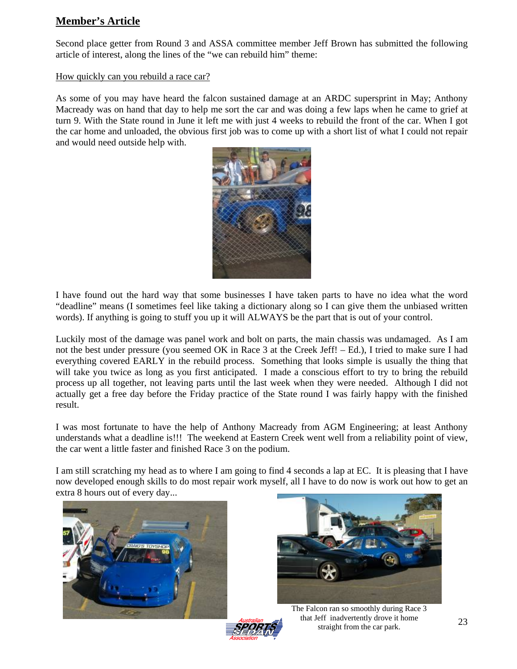## **Member's Article**

Second place getter from Round 3 and ASSA committee member Jeff Brown has submitted the following article of interest, along the lines of the "we can rebuild him" theme:

#### How quickly can you rebuild a race car?

As some of you may have heard the falcon sustained damage at an ARDC supersprint in May; Anthony Macready was on hand that day to help me sort the car and was doing a few laps when he came to grief at turn 9. With the State round in June it left me with just 4 weeks to rebuild the front of the car. When I got the car home and unloaded, the obvious first job was to come up with a short list of what I could not repair and would need outside help with.



I have found out the hard way that some businesses I have taken parts to have no idea what the word "deadline" means (I sometimes feel like taking a dictionary along so I can give them the unbiased written words). If anything is going to stuff you up it will ALWAYS be the part that is out of your control.

Luckily most of the damage was panel work and bolt on parts, the main chassis was undamaged. As I am not the best under pressure (you seemed OK in Race 3 at the Creek Jeff! – Ed.), I tried to make sure I had everything covered EARLY in the rebuild process. Something that looks simple is usually the thing that will take you twice as long as you first anticipated. I made a conscious effort to try to bring the rebuild process up all together, not leaving parts until the last week when they were needed. Although I did not actually get a free day before the Friday practice of the State round I was fairly happy with the finished result.

I was most fortunate to have the help of Anthony Macready from AGM Engineering; at least Anthony understands what a deadline is!!! The weekend at Eastern Creek went well from a reliability point of view, the car went a little faster and finished Race 3 on the podium.

I am still scratching my head as to where I am going to find 4 seconds a lap at EC. It is pleasing that I have now developed enough skills to do most repair work myself, all I have to do now is work out how to get an extra 8 hours out of every day...





The Falcon ran so smoothly during Race 3 that Jeff inadvertently drove it home straight from the car park.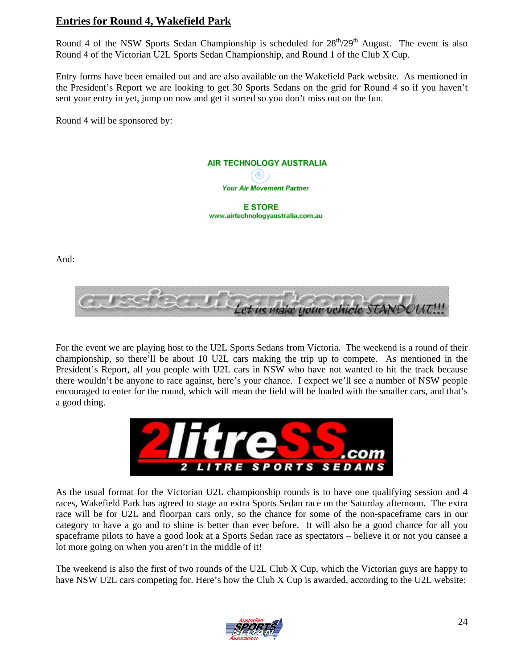## **Entries for Round 4, Wakefield Park**

Round 4 of the NSW Sports Sedan Championship is scheduled for  $28<sup>th</sup>/29<sup>th</sup>$  August. The event is also Round 4 of the Victorian U2L Sports Sedan Championship, and Round 1 of the Club X Cup.

Entry forms have been emailed out and are also available on the Wakefield Park website. As mentioned in the President's Report we are looking to get 30 Sports Sedans on the grid for Round 4 so if you haven't sent your entry in yet, jump on now and get it sorted so you don't miss out on the fun.

Round 4 will be sponsored by:



And:



For the event we are playing host to the U2L Sports Sedans from Victoria. The weekend is a round of their championship, so there'll be about 10 U2L cars making the trip up to compete. As mentioned in the President's Report, all you people with U2L cars in NSW who have not wanted to hit the track because there wouldn't be anyone to race against, here's your chance. I expect we'll see a number of NSW people encouraged to enter for the round, which will mean the field will be loaded with the smaller cars, and that's a good thing.



As the usual format for the Victorian U2L championship rounds is to have one qualifying session and 4 races, Wakefield Park has agreed to stage an extra Sports Sedan race on the Saturday afternoon. The extra race will be for U2L and floorpan cars only, so the chance for some of the non-spaceframe cars in our category to have a go and to shine is better than ever before. It will also be a good chance for all you spaceframe pilots to have a good look at a Sports Sedan race as spectators – believe it or not you cansee a lot more going on when you aren't in the middle of it!

The weekend is also the first of two rounds of the U2L Club X Cup, which the Victorian guys are happy to have NSW U2L cars competing for. Here's how the Club X Cup is awarded, according to the U2L website:

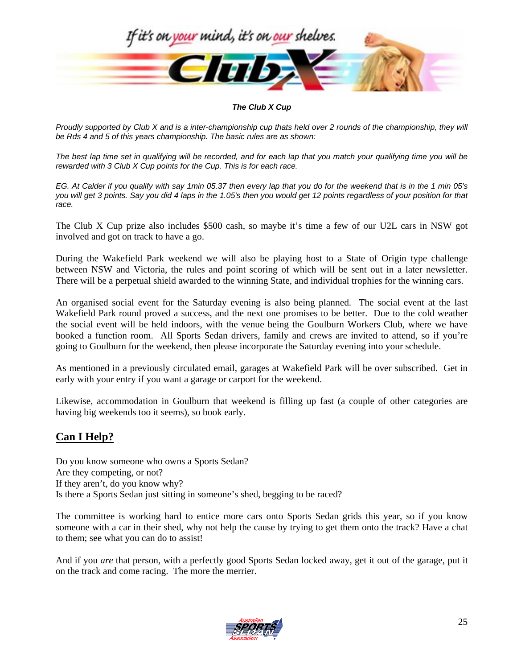

#### *The Club X Cup*

*Proudly supported by Club X and is a inter-championship cup thats held over 2 rounds of the championship, they will be Rds 4 and 5 of this years championship. The basic rules are as shown:* 

*The best lap time set in qualifying will be recorded, and for each lap that you match your qualifying time you will be rewarded with 3 Club X Cup points for the Cup. This is for each race.* 

*EG. At Calder if you qualify with say 1min 05.37 then every lap that you do for the weekend that is in the 1 min 05's you will get 3 points. Say you did 4 laps in the 1.05's then you would get 12 points regardless of your position for that race.*

The Club X Cup prize also includes \$500 cash, so maybe it's time a few of our U2L cars in NSW got involved and got on track to have a go.

During the Wakefield Park weekend we will also be playing host to a State of Origin type challenge between NSW and Victoria, the rules and point scoring of which will be sent out in a later newsletter. There will be a perpetual shield awarded to the winning State, and individual trophies for the winning cars.

An organised social event for the Saturday evening is also being planned. The social event at the last Wakefield Park round proved a success, and the next one promises to be better. Due to the cold weather the social event will be held indoors, with the venue being the Goulburn Workers Club, where we have booked a function room. All Sports Sedan drivers, family and crews are invited to attend, so if you're going to Goulburn for the weekend, then please incorporate the Saturday evening into your schedule.

As mentioned in a previously circulated email, garages at Wakefield Park will be over subscribed. Get in early with your entry if you want a garage or carport for the weekend.

Likewise, accommodation in Goulburn that weekend is filling up fast (a couple of other categories are having big weekends too it seems), so book early.

## **Can I Help?**

Do you know someone who owns a Sports Sedan? Are they competing, or not? If they aren't, do you know why? Is there a Sports Sedan just sitting in someone's shed, begging to be raced?

The committee is working hard to entice more cars onto Sports Sedan grids this year, so if you know someone with a car in their shed, why not help the cause by trying to get them onto the track? Have a chat to them; see what you can do to assist!

And if you *are* that person, with a perfectly good Sports Sedan locked away, get it out of the garage, put it on the track and come racing. The more the merrier.

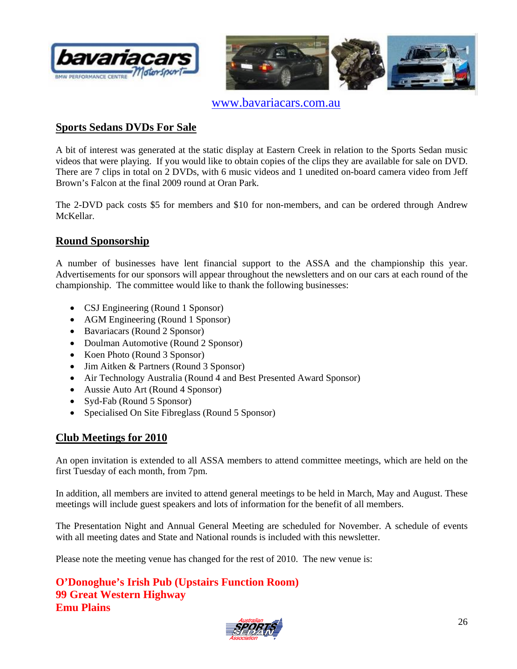



www.bavariacars.com.au

## **Sports Sedans DVDs For Sale**

A bit of interest was generated at the static display at Eastern Creek in relation to the Sports Sedan music videos that were playing. If you would like to obtain copies of the clips they are available for sale on DVD. There are 7 clips in total on 2 DVDs, with 6 music videos and 1 unedited on-board camera video from Jeff Brown's Falcon at the final 2009 round at Oran Park.

The 2-DVD pack costs \$5 for members and \$10 for non-members, and can be ordered through Andrew McKellar.

## **Round Sponsorship**

A number of businesses have lent financial support to the ASSA and the championship this year. Advertisements for our sponsors will appear throughout the newsletters and on our cars at each round of the championship. The committee would like to thank the following businesses:

- CSJ Engineering (Round 1 Sponsor)
- AGM Engineering (Round 1 Sponsor)
- Bavariacars (Round 2 Sponsor)
- Doulman Automotive (Round 2 Sponsor)
- Koen Photo (Round 3 Sponsor)
- Jim Aitken & Partners (Round 3 Sponsor)
- Air Technology Australia (Round 4 and Best Presented Award Sponsor)
- Aussie Auto Art (Round 4 Sponsor)
- Syd-Fab (Round 5 Sponsor)
- Specialised On Site Fibreglass (Round 5 Sponsor)

## **Club Meetings for 2010**

An open invitation is extended to all ASSA members to attend committee meetings, which are held on the first Tuesday of each month, from 7pm.

In addition, all members are invited to attend general meetings to be held in March, May and August. These meetings will include guest speakers and lots of information for the benefit of all members.

The Presentation Night and Annual General Meeting are scheduled for November. A schedule of events with all meeting dates and State and National rounds is included with this newsletter.

Please note the meeting venue has changed for the rest of 2010. The new venue is:

**O'Donoghue's Irish Pub (Upstairs Function Room) 99 Great Western Highway Emu Plains**

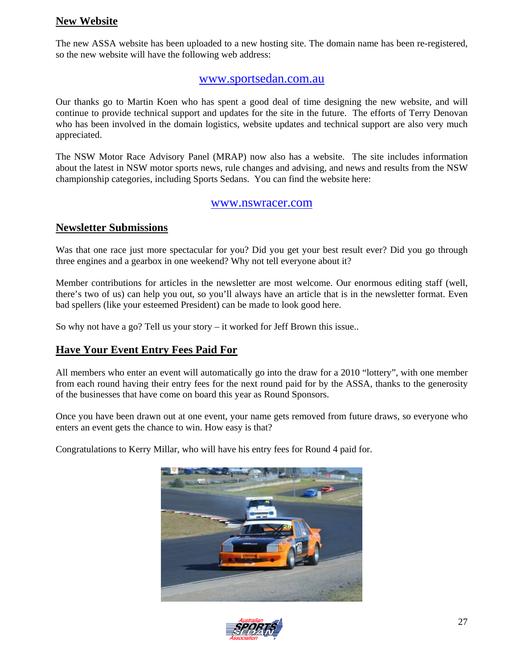## **New Website**

The new ASSA website has been uploaded to a new hosting site. The domain name has been re-registered, so the new website will have the following web address:

## www.sportsedan.com.au

Our thanks go to Martin Koen who has spent a good deal of time designing the new website, and will continue to provide technical support and updates for the site in the future. The efforts of Terry Denovan who has been involved in the domain logistics, website updates and technical support are also very much appreciated.

The NSW Motor Race Advisory Panel (MRAP) now also has a website. The site includes information about the latest in NSW motor sports news, rule changes and advising, and news and results from the NSW championship categories, including Sports Sedans. You can find the website here:

#### www.nswracer.com

## **Newsletter Submissions**

Was that one race just more spectacular for you? Did you get your best result ever? Did you go through three engines and a gearbox in one weekend? Why not tell everyone about it?

Member contributions for articles in the newsletter are most welcome. Our enormous editing staff (well, there's two of us) can help you out, so you'll always have an article that is in the newsletter format. Even bad spellers (like your esteemed President) can be made to look good here.

So why not have a go? Tell us your story – it worked for Jeff Brown this issue..

## **Have Your Event Entry Fees Paid For**

All members who enter an event will automatically go into the draw for a 2010 "lottery", with one member from each round having their entry fees for the next round paid for by the ASSA, thanks to the generosity of the businesses that have come on board this year as Round Sponsors.

Once you have been drawn out at one event, your name gets removed from future draws, so everyone who enters an event gets the chance to win. How easy is that?

Congratulations to Kerry Millar, who will have his entry fees for Round 4 paid for.



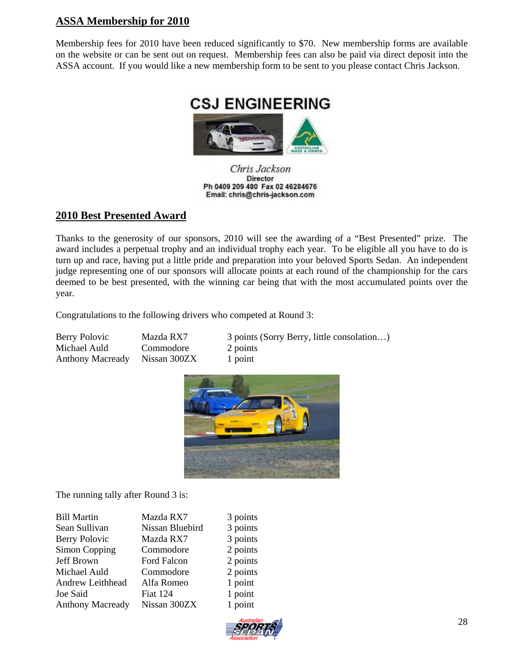## **ASSA Membership for 2010**

Membership fees for 2010 have been reduced significantly to \$70. New membership forms are available on the website or can be sent out on request. Membership fees can also be paid via direct deposit into the ASSA account. If you would like a new membership form to be sent to you please contact Chris Jackson.



Chris Jackson **Director** Ph 0409 209 480 Fax 02 46284676 Email: chris@chris-jackson.com

## **2010 Best Presented Award**

Thanks to the generosity of our sponsors, 2010 will see the awarding of a "Best Presented" prize. The award includes a perpetual trophy and an individual trophy each year. To be eligible all you have to do is turn up and race, having put a little pride and preparation into your beloved Sports Sedan. An independent judge representing one of our sponsors will allocate points at each round of the championship for the cars deemed to be best presented, with the winning car being that with the most accumulated points over the year.

Congratulations to the following drivers who competed at Round 3:

| Berry Polovic                 | Mazda RX7 | 3 points (Sorry Berry, little consolation) |
|-------------------------------|-----------|--------------------------------------------|
| Michael Auld                  | Commodore | 2 points                                   |
| Anthony Macready Nissan 300ZX |           | 1 point                                    |



The running tally after Round 3 is:

| <b>Bill Martin</b>      | Mazda RX7       | 3 points |
|-------------------------|-----------------|----------|
| Sean Sullivan           | Nissan Bluebird | 3 points |
|                         |                 |          |
| <b>Berry Polovic</b>    | Mazda RX7       | 3 points |
| Simon Copping           | Commodore       | 2 points |
| Jeff Brown              | Ford Falcon     | 2 points |
| Michael Auld            | Commodore       | 2 points |
| Andrew Leithhead        | Alfa Romeo      | 1 point  |
| Joe Said                | <b>Fiat 124</b> | 1 point  |
| <b>Anthony Macready</b> | Nissan 300ZX    | 1 point  |
|                         |                 |          |

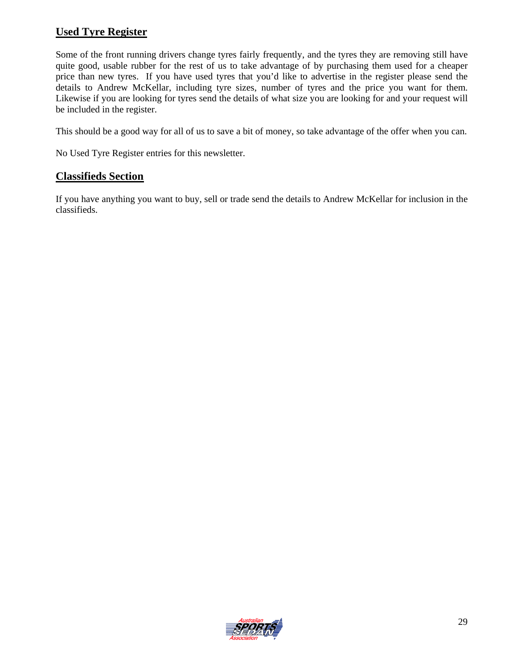## **Used Tyre Register**

Some of the front running drivers change tyres fairly frequently, and the tyres they are removing still have quite good, usable rubber for the rest of us to take advantage of by purchasing them used for a cheaper price than new tyres. If you have used tyres that you'd like to advertise in the register please send the details to Andrew McKellar, including tyre sizes, number of tyres and the price you want for them. Likewise if you are looking for tyres send the details of what size you are looking for and your request will be included in the register.

This should be a good way for all of us to save a bit of money, so take advantage of the offer when you can.

No Used Tyre Register entries for this newsletter.

## **Classifieds Section**

If you have anything you want to buy, sell or trade send the details to Andrew McKellar for inclusion in the classifieds.

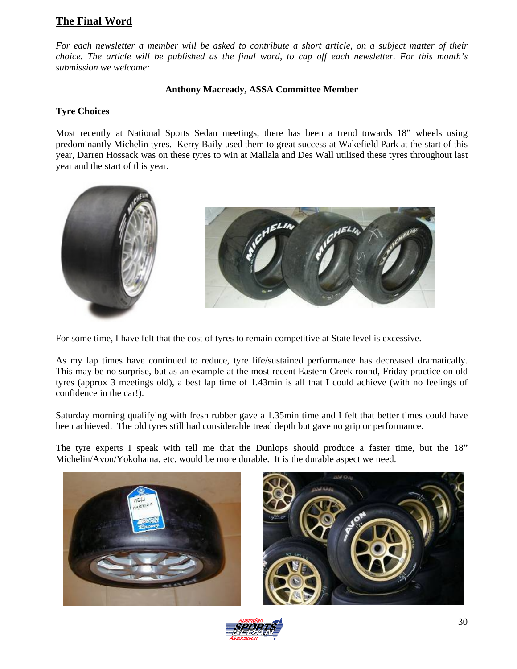## **The Final Word**

*For each newsletter a member will be asked to contribute a short article, on a subject matter of their choice. The article will be published as the final word, to cap off each newsletter. For this month's submission we welcome:* 

#### **Anthony Macready, ASSA Committee Member**

#### **Tyre Choices**

Most recently at National Sports Sedan meetings, there has been a trend towards 18" wheels using predominantly Michelin tyres. Kerry Baily used them to great success at Wakefield Park at the start of this year, Darren Hossack was on these tyres to win at Mallala and Des Wall utilised these tyres throughout last year and the start of this year.



For some time, I have felt that the cost of tyres to remain competitive at State level is excessive.

As my lap times have continued to reduce, tyre life/sustained performance has decreased dramatically. This may be no surprise, but as an example at the most recent Eastern Creek round, Friday practice on old tyres (approx 3 meetings old), a best lap time of 1.43min is all that I could achieve (with no feelings of confidence in the car!).

Saturday morning qualifying with fresh rubber gave a 1.35min time and I felt that better times could have been achieved. The old tyres still had considerable tread depth but gave no grip or performance.

The tyre experts I speak with tell me that the Dunlops should produce a faster time, but the 18" Michelin/Avon/Yokohama, etc. would be more durable. It is the durable aspect we need.